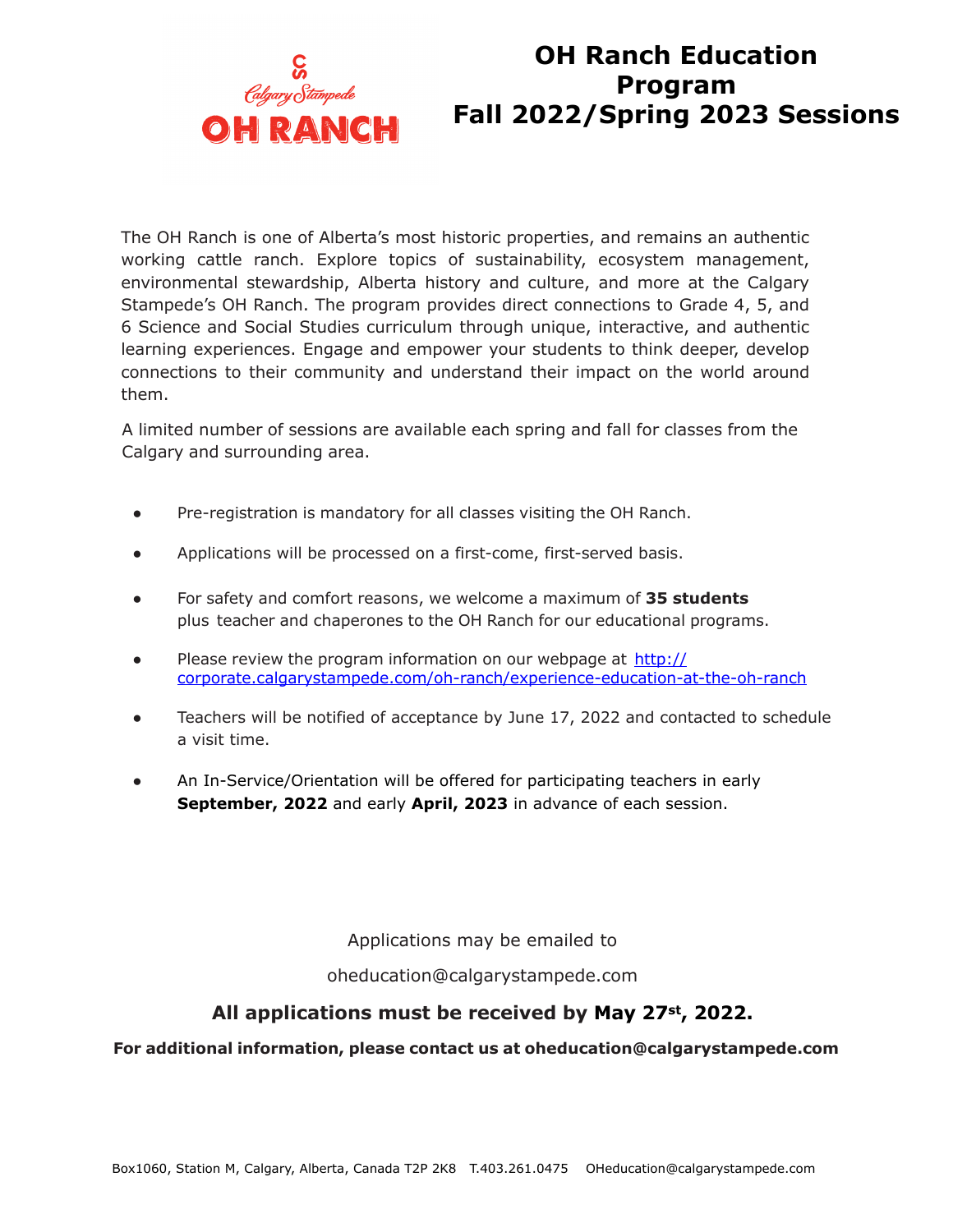

### **OH Ranch Education Program Fall 2022/Spring 2023 Sessions**

The OH Ranch is one of Alberta's most historic properties, and remains an authentic working cattle ranch. Explore topics of sustainability, ecosystem management, environmental stewardship, Alberta history and culture, and more at the Calgary Stampede's OH Ranch. The program provides direct connections to Grade 4, 5, and 6 Science and Social Studies curriculum through unique, interactive, and authentic learning experiences. Engage and empower your students to think deeper, develop connections to their community and understand their impact on the world around them.

A limited number of sessions are available each spring and fall for classes from the Calgary and surrounding area.

- Pre-registration is mandatory for all classes visiting the OH Ranch.
- Applications will be processed on a first-come, first-served basis.
- For safety and comfort reasons, we welcome a maximum of **35 students** plus teacher and chaperones to the OH Ranch for our educational programs.
- Please review the program information on our webpage at http:// corporate.calgarystampede.com/oh-ranch/experience-education-at-the-oh-ranch
- Teachers will be notified of acceptance by June 17, 2022 and contacted to schedule a visit time.
- An In-Service/Orientation will be offered for participating teachers in early **September, 2022** and early **April, 2023** in advance of each session.

Applications may be emailed to

oheducation@calgarystampede.com

### **All applications must be received by May 27st, 2022.**

#### **For additional information, please contact us at oheducation@calgarystampede.com**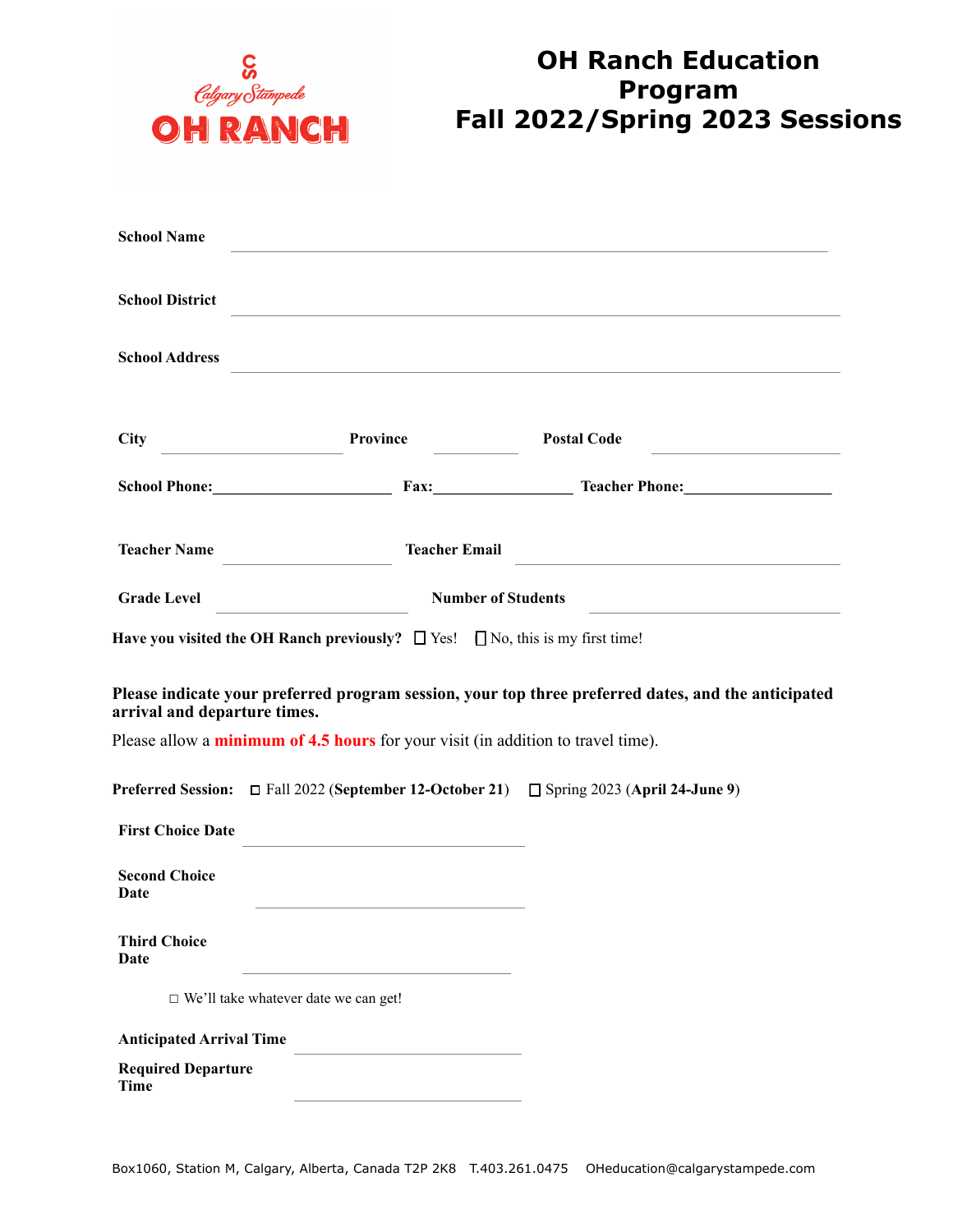

# **OH Ranch Education Program Fall 2022/Spring 2023 Sessions**

| <b>School Name</b>                                                                      |                                                                                          |                                                                                                     |
|-----------------------------------------------------------------------------------------|------------------------------------------------------------------------------------------|-----------------------------------------------------------------------------------------------------|
| <b>School District</b>                                                                  |                                                                                          |                                                                                                     |
| <b>School Address</b>                                                                   |                                                                                          |                                                                                                     |
| <b>City</b>                                                                             | Province                                                                                 | <b>Postal Code</b>                                                                                  |
|                                                                                         |                                                                                          | School Phone: Fax: Fax: Teacher Phone:                                                              |
| <b>Teacher Name</b>                                                                     | <b>Teacher Email</b>                                                                     |                                                                                                     |
| <b>Grade Level</b>                                                                      | <b>Number of Students</b>                                                                |                                                                                                     |
| Have you visited the OH Ranch previously? $\Box$ Yes! $\Box$ No, this is my first time! |                                                                                          |                                                                                                     |
| arrival and departure times.                                                            |                                                                                          | Please indicate your preferred program session, your top three preferred dates, and the anticipated |
|                                                                                         | Please allow a <i>minimum of 4.5 hours</i> for your visit (in addition to travel time).  |                                                                                                     |
|                                                                                         | Preferred Session: □ Fall 2022 (September 12-October 21) □ Spring 2023 (April 24-June 9) |                                                                                                     |
| <b>First Choice Date</b>                                                                | the contract of the contract of the contract of the contract of the contract of          |                                                                                                     |
| <b>Second Choice</b><br>Date                                                            |                                                                                          |                                                                                                     |
| <b>Third Choice</b><br>Date                                                             |                                                                                          |                                                                                                     |
| $\hfill\Box$ We'll take whatever date we can get!                                       |                                                                                          |                                                                                                     |
| <b>Anticipated Arrival Time</b>                                                         |                                                                                          |                                                                                                     |
| <b>Required Departure</b><br><b>Time</b>                                                |                                                                                          |                                                                                                     |